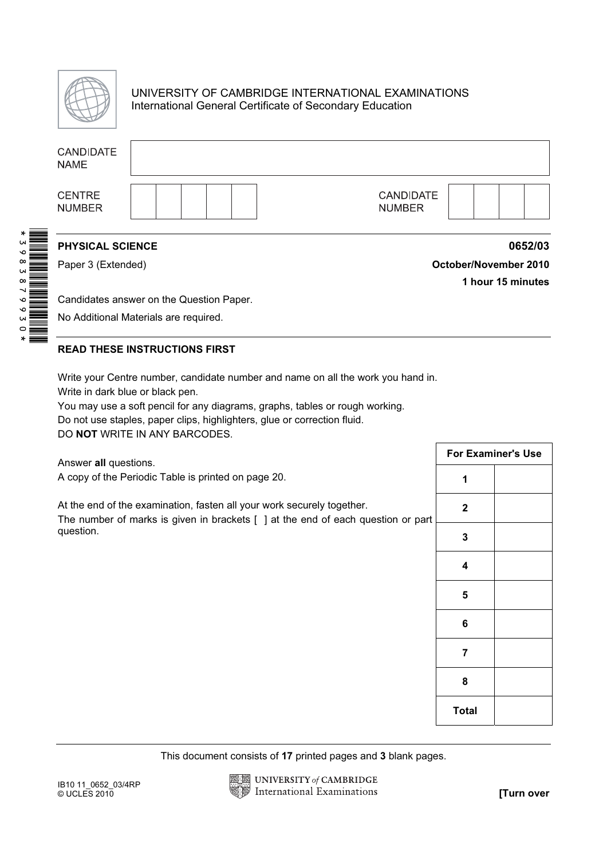

# UNIVERSITY OF CAMBRIDGE INTERNATIONAL EXAMINATIONS International General Certificate of Secondary Education

| <b>CANDIDATE</b><br><b>NAME</b>       |                                          |                                   |                   |
|---------------------------------------|------------------------------------------|-----------------------------------|-------------------|
| <b>CENTRE</b><br><b>NUMBER</b>        |                                          | <b>CANDIDATE</b><br><b>NUMBER</b> |                   |
| <b>PHYSICAL SCIENCE</b>               |                                          |                                   | 0652/03           |
| Paper 3 (Extended)                    |                                          | October/November 2010             |                   |
|                                       |                                          |                                   | 1 hour 15 minutes |
|                                       | Candidates answer on the Question Paper. |                                   |                   |
| No Additional Materials are required. |                                          |                                   |                   |

#### READ THESE INSTRUCTIONS FIRST

| PHYSICAL SCIENCE                                    |                                                                                                                                                            |                         | 0652/03                   |
|-----------------------------------------------------|------------------------------------------------------------------------------------------------------------------------------------------------------------|-------------------------|---------------------------|
| Paper 3 (Extended)                                  |                                                                                                                                                            | October/November 2010   |                           |
|                                                     |                                                                                                                                                            |                         | 1 hour 15 minutes         |
| Candidates answer on the Question Paper.            |                                                                                                                                                            |                         |                           |
| No Additional Materials are required.               |                                                                                                                                                            |                         |                           |
| <b>READ THESE INSTRUCTIONS FIRST</b>                |                                                                                                                                                            |                         |                           |
| Write in dark blue or black pen.                    | Write your Centre number, candidate number and name on all the work you hand in.                                                                           |                         |                           |
|                                                     | You may use a soft pencil for any diagrams, graphs, tables or rough working.                                                                               |                         |                           |
| DO NOT WRITE IN ANY BARCODES.                       | Do not use staples, paper clips, highlighters, glue or correction fluid.                                                                                   |                         |                           |
| Answer all questions.                               |                                                                                                                                                            |                         | <b>For Examiner's Use</b> |
| A copy of the Periodic Table is printed on page 20. |                                                                                                                                                            | 1                       |                           |
|                                                     | At the end of the examination, fasten all your work securely together.<br>The number of marks is given in brackets [ ] at the end of each question or part | $\mathbf{2}$            |                           |
| question.                                           |                                                                                                                                                            | $\mathbf{3}$            |                           |
|                                                     |                                                                                                                                                            | 4                       |                           |
|                                                     |                                                                                                                                                            | 5                       |                           |
|                                                     |                                                                                                                                                            | 6                       |                           |
|                                                     |                                                                                                                                                            | $\overline{\mathbf{7}}$ |                           |
|                                                     |                                                                                                                                                            | 8                       |                           |
|                                                     |                                                                                                                                                            | <b>Total</b>            |                           |
|                                                     |                                                                                                                                                            |                         |                           |
|                                                     | This document consists of 17 printed pages and 3 blank pages.                                                                                              |                         |                           |
| IB10 11 0652 03/4RP<br>$@$ UCLES 2010               | <b>UNIVERSITY of CAMBRIDGE</b><br><b>International Examinations</b>                                                                                        |                         | <b>Turn over</b>          |

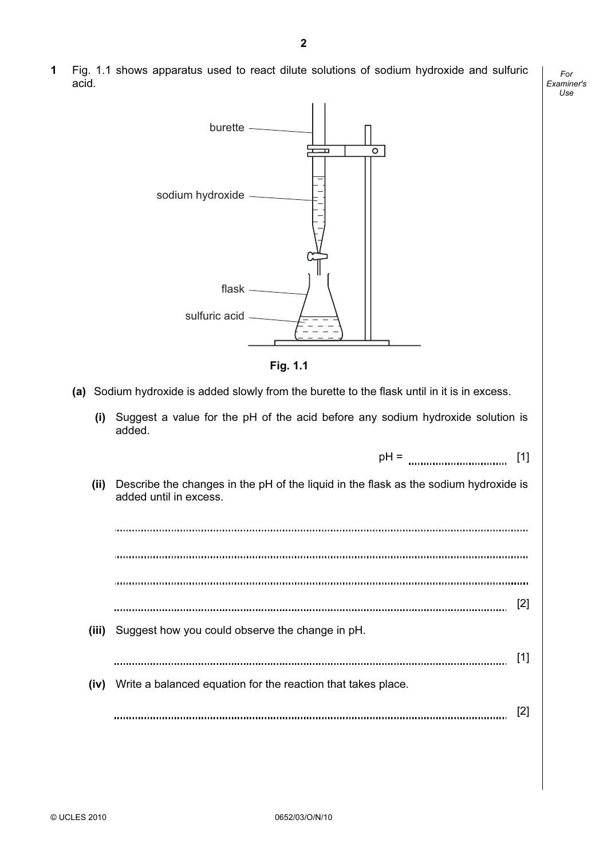1 Fig. 1.1 shows apparatus used to react dilute solutions of sodium hydroxide and sulfuric acid.







- (a) Sodium hydroxide is added slowly from the burette to the flask until in it is in excess.
	- (i) Suggest a value for the pH of the acid before any sodium hydroxide solution is added.

 (ii) Describe the changes in the pH of the liquid in the flask as the sodium hydroxide is added until in excess.

[2] (iii) Suggest how you could observe the change in pH. [1] (iv) Write a balanced equation for the reaction that takes place. [2]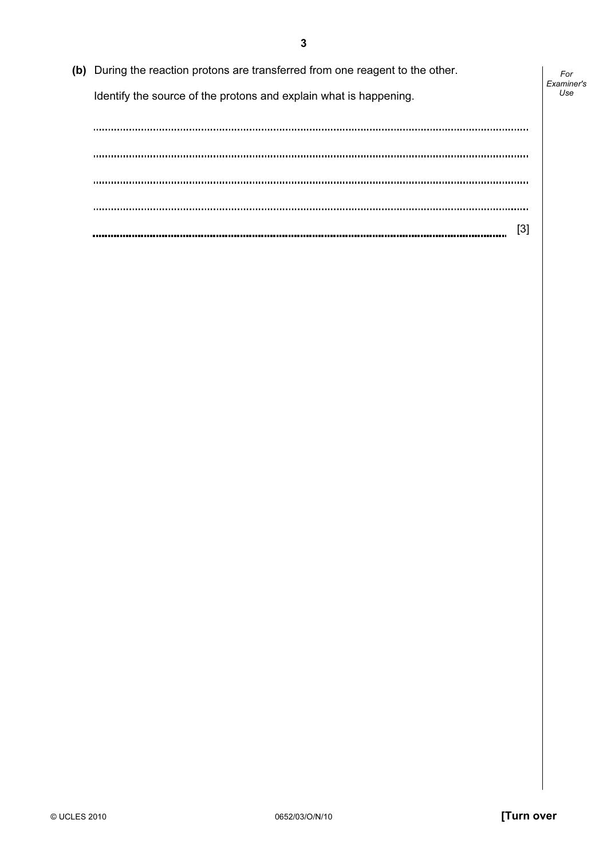| (b) During the reaction protons are transferred from one reagent to the other. | For<br>Examiner's |
|--------------------------------------------------------------------------------|-------------------|
| Identify the source of the protons and explain what is happening.              | Use               |
|                                                                                |                   |
|                                                                                |                   |
|                                                                                |                   |
| ,,,,,,                                                                         |                   |
|                                                                                |                   |
| 3                                                                              |                   |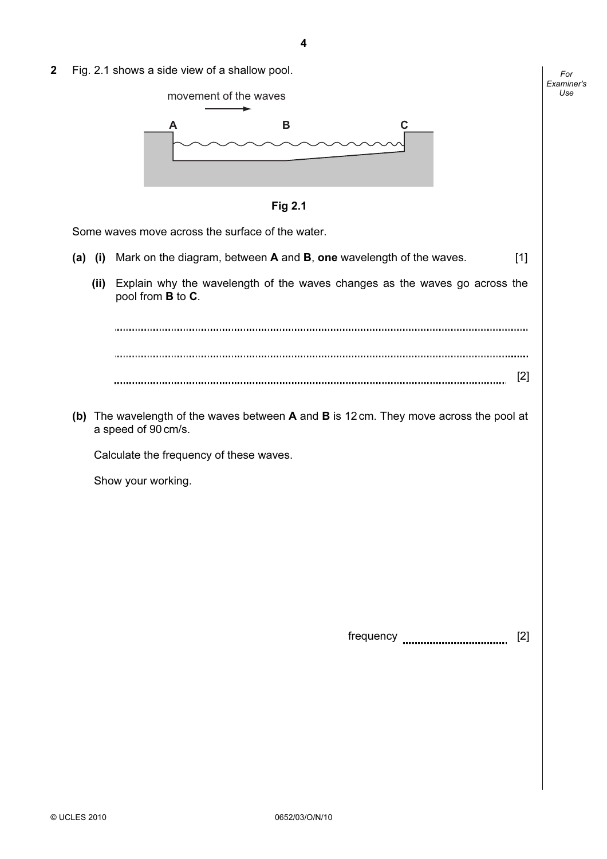2 Fig. 2.1 shows a side view of a shallow pool.





Some waves move across the surface of the water.

- (a) (i) Mark on the diagram, between A and B, one wavelength of the waves. [1]
	- (ii) Explain why the wavelength of the waves changes as the waves go across the pool from B to C.

[2]

(b) The wavelength of the waves between A and B is 12 cm. They move across the pool at a speed of 90cm/s.

Calculate the frequency of these waves.

Show your working.

frequency [2]

For Examiner's  $1$ se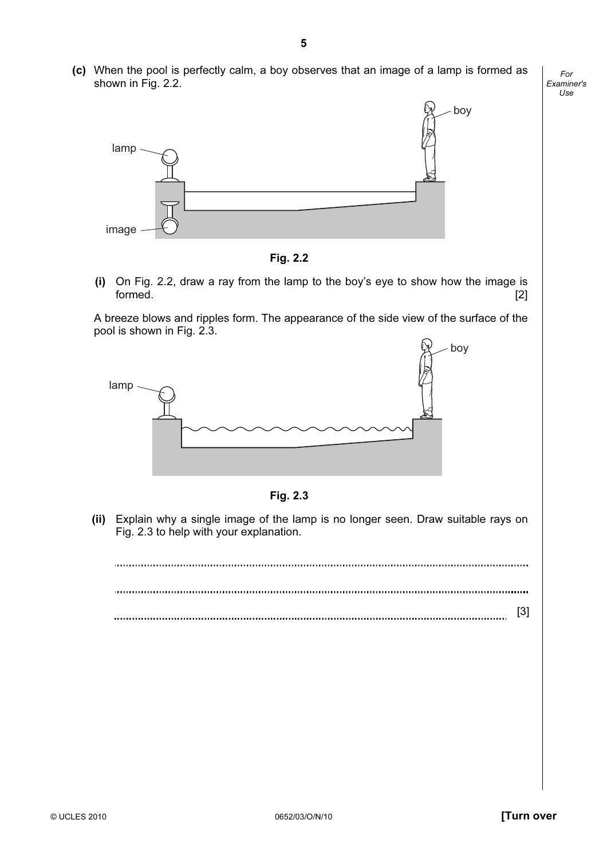(c) When the pool is perfectly calm, a boy observes that an image of a lamp is formed as shown in Fig. 2.2.

For Examiner's  $1$ se





(i) On Fig. 2.2, draw a ray from the lamp to the boy's eye to show how the image is formed.  $[2]$  $\lceil 2 \rceil$ 

 A breeze blows and ripples form. The appearance of the side view of the surface of the pool is shown in Fig. 2.3.





 (ii) Explain why a single image of the lamp is no longer seen. Draw suitable rays on Fig. 2.3 to help with your explanation.

[3]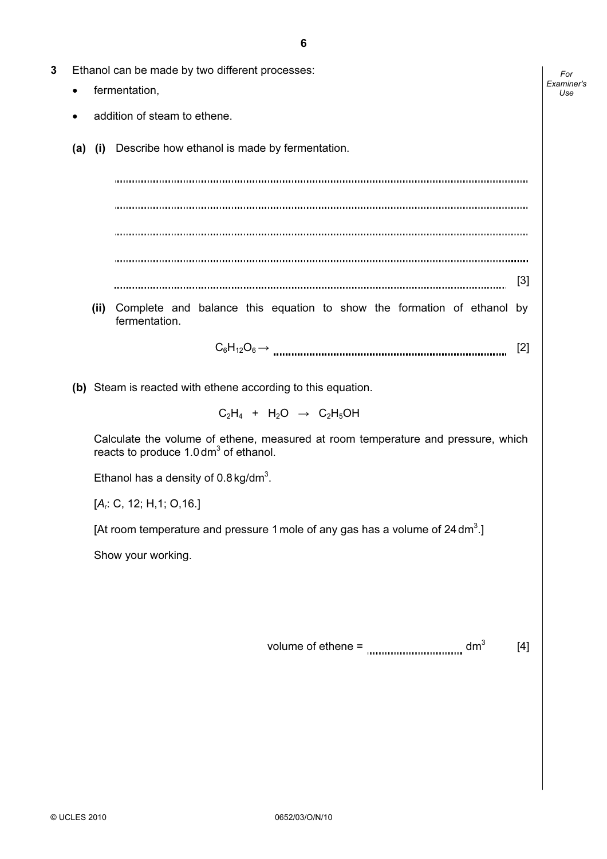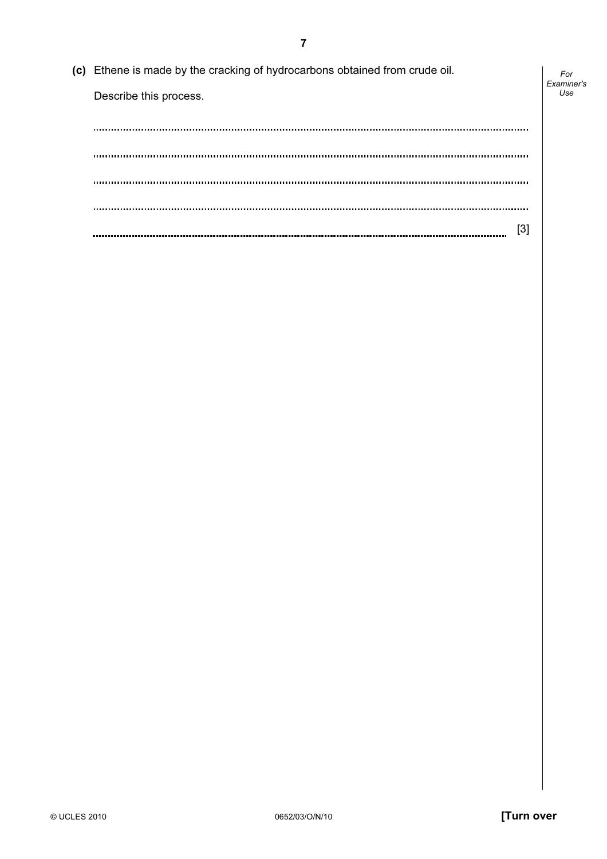(c) Ethene is made by the cracking of hydrocarbons obtained from crude oil. Describe this process.

[3]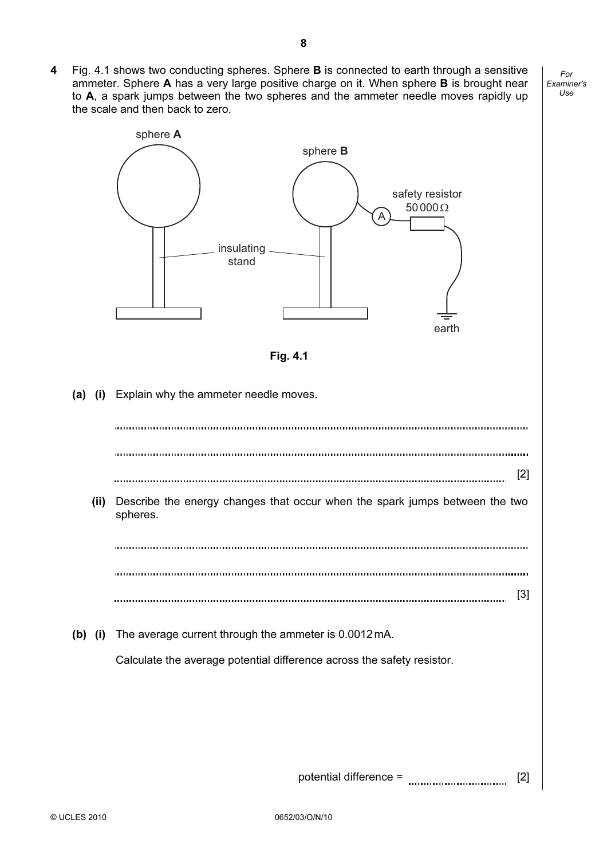4 Fig. 4.1 shows two conducting spheres. Sphere **B** is connected to earth through a sensitive ammeter. Sphere A has a very large positive charge on it. When sphere B is brought near to A, a spark jumps between the two spheres and the ammeter needle moves rapidly up the scale and then back to zero.

For Examiner's  $1$ se



Fig. 4.1

(a) (i) Explain why the ammeter needle moves.

[2] (ii) Describe the energy changes that occur when the spark jumps between the two spheres. [3] (b) (i) The average current through the ammeter is 0.0012mA. Calculate the average potential difference across the safety resistor.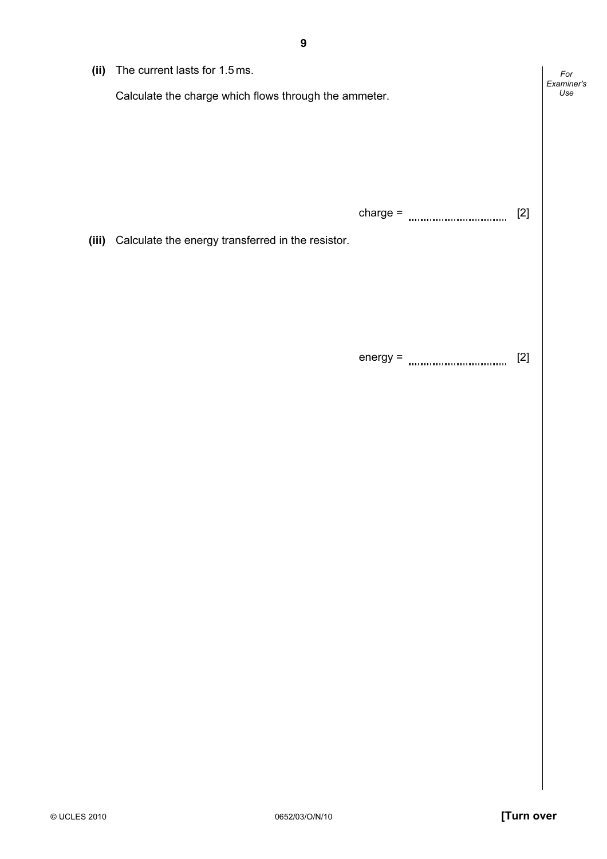For Examiner's Use (ii) The current lasts for 1.5ms. Calculate the charge which flows through the ammeter. charge = [2] (iii) Calculate the energy transferred in the resistor. energy = [2]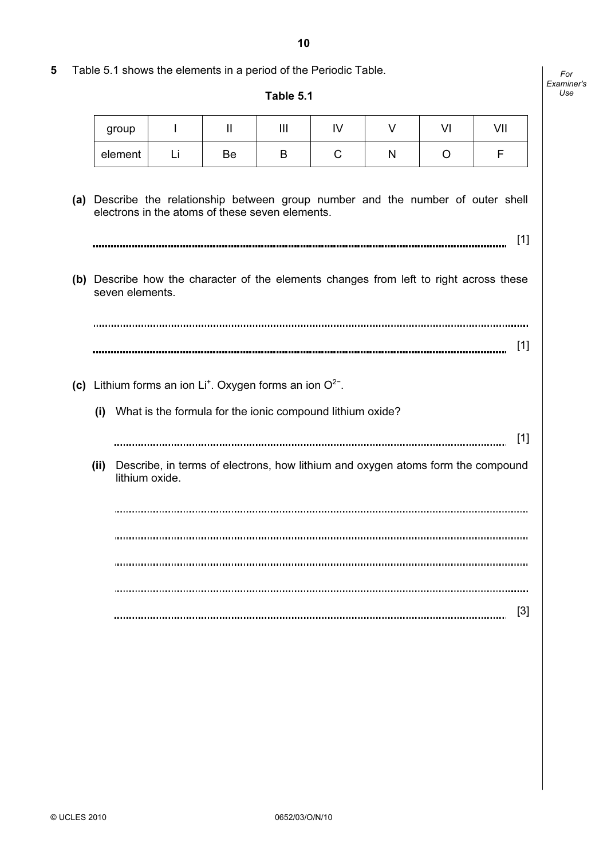5 Table 5.1 shows the elements in a period of the Periodic Table.

# Table 5.1

|      | group           | $\mathbf{I}$                                                | $\mathbf{H}$ | III | IV | $\vee$ | VI      | VII                                                                                    |
|------|-----------------|-------------------------------------------------------------|--------------|-----|----|--------|---------|----------------------------------------------------------------------------------------|
|      | element         | Li                                                          | Be           | B   | C  | N      | $\circ$ | F                                                                                      |
| (a)  |                 | electrons in the atoms of these seven elements.             |              |     |    |        |         | Describe the relationship between group number and the number of outer shell           |
|      |                 |                                                             |              |     |    |        |         | [1]                                                                                    |
|      | seven elements. |                                                             |              |     |    |        |         | (b) Describe how the character of the elements changes from left to right across these |
|      |                 |                                                             |              |     |    |        |         |                                                                                        |
|      |                 |                                                             |              |     |    |        |         | [1]                                                                                    |
|      |                 | (c) Lithium forms an ion $Li+$ . Oxygen forms an ion $O2$ . |              |     |    |        |         |                                                                                        |
|      | (i)             | What is the formula for the ionic compound lithium oxide?   |              |     |    |        |         |                                                                                        |
|      |                 |                                                             |              |     |    |        |         | $[1]$                                                                                  |
| (ii) | lithium oxide.  |                                                             |              |     |    |        |         | Describe, in terms of electrons, how lithium and oxygen atoms form the compound        |
|      |                 |                                                             |              |     |    |        |         |                                                                                        |
|      |                 |                                                             |              |     |    |        |         |                                                                                        |
|      |                 |                                                             |              |     |    |        |         |                                                                                        |
|      |                 |                                                             |              |     |    |        |         |                                                                                        |
|      |                 |                                                             |              |     |    |        |         | [3]                                                                                    |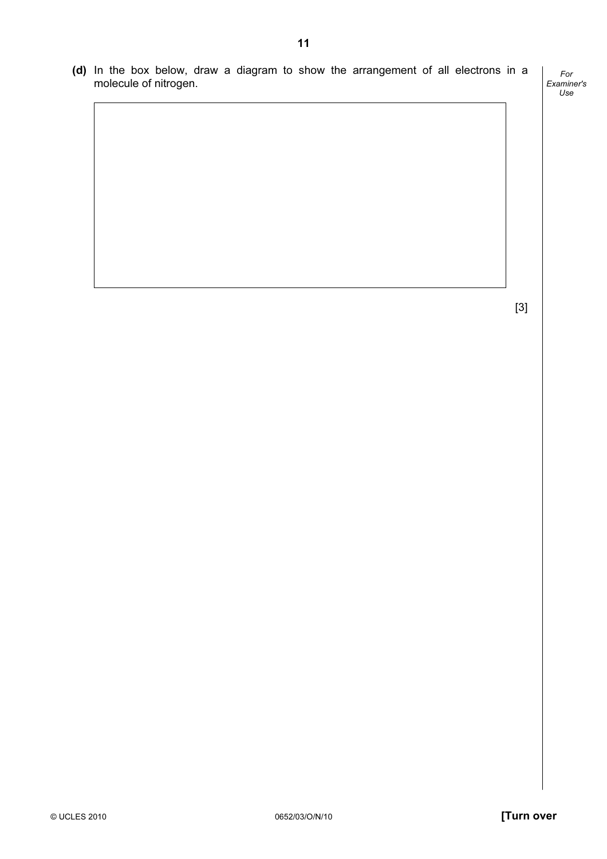(d) In the box below, draw a diagram to show the arrangement of all electrons in a molecule of nitrogen.

For Examiner's Use

 $[3]$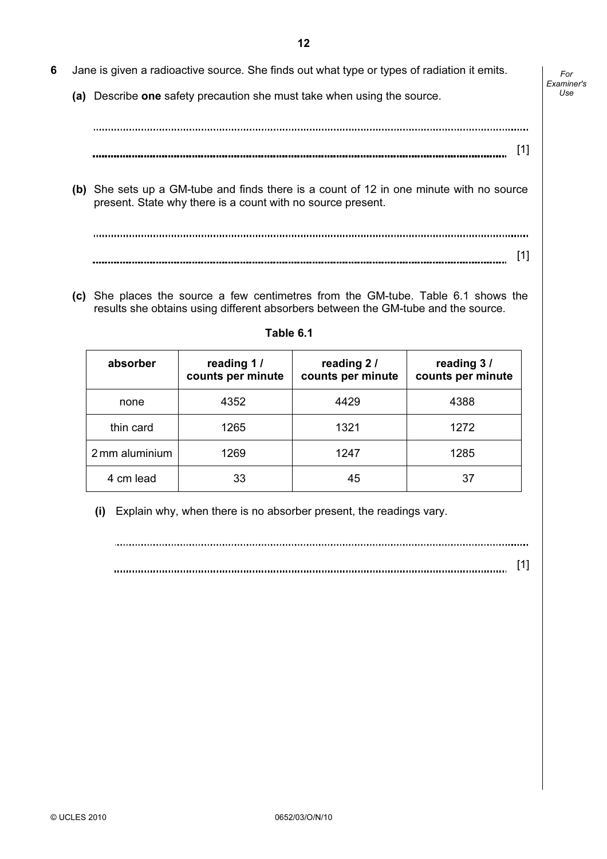- 6 Jane is given a radioactive source. She finds out what type or types of radiation it emits.
	- (a) Describe one safety precaution she must take when using the source.

[1]

For Examiner's Use

 (b) She sets up a GM-tube and finds there is a count of 12 in one minute with no source present. State why there is a count with no source present.

[1] 

 (c) She places the source a few centimetres from the GM-tube. Table 6.1 shows the results she obtains using different absorbers between the GM-tube and the source.

| absorber       | reading 1/<br>counts per minute | reading 2/<br>counts per minute | reading 3/<br>counts per minute |
|----------------|---------------------------------|---------------------------------|---------------------------------|
| none           | 4352                            | 4429                            | 4388                            |
| thin card      | 1265                            | 1321                            | 1272                            |
| 2 mm aluminium | 1269                            | 1247                            | 1285                            |
| 4 cm lead      | 33                              | 45                              | 37                              |

Table 6.1

(i) Explain why, when there is no absorber present, the readings vary.

[1]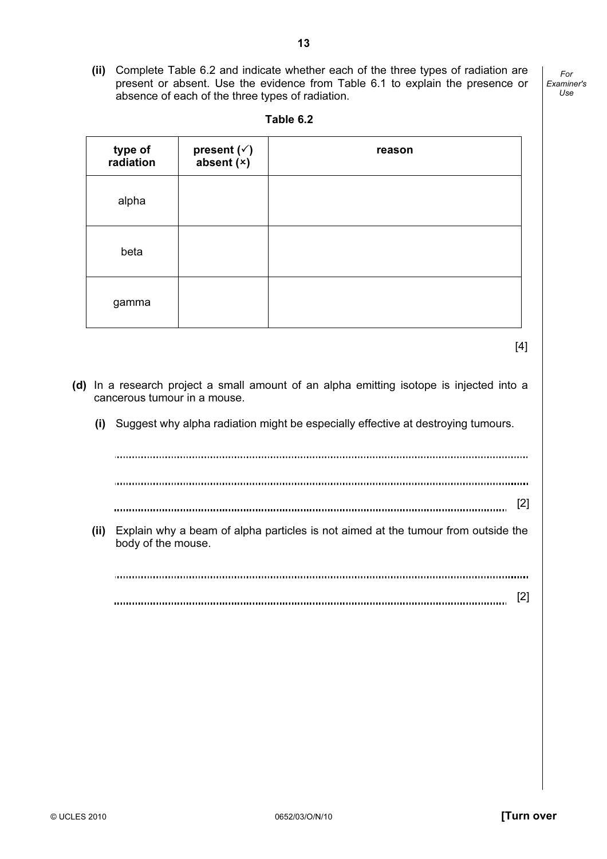(ii) Complete Table 6.2 and indicate whether each of the three types of radiation are present or absent. Use the evidence from Table 6.1 to explain the presence or absence of each of the three types of radiation.

For Examiner's  $1$ se

| type of<br>radiation | present $(\check{y})$<br>absent $(x)$ | reason |
|----------------------|---------------------------------------|--------|
| alpha                |                                       |        |
| beta                 |                                       |        |
| gamma                |                                       |        |

Table 6.2

- (d) In a research project a small amount of an alpha emitting isotope is injected into a cancerous tumour in a mouse.
	- (i) Suggest why alpha radiation might be especially effective at destroying tumours.

[2]

 (ii) Explain why a beam of alpha particles is not aimed at the tumour from outside the body of the mouse.

[2] 

[4]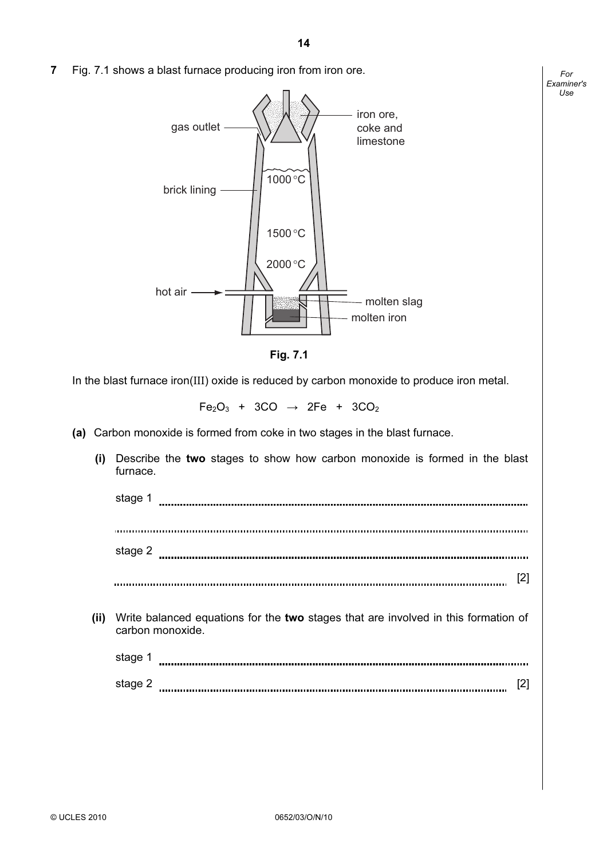- 14
- 7 Fig. 7.1 shows a blast furnace producing iron from iron ore.





In the blast furnace iron(III) oxide is reduced by carbon monoxide to produce iron metal.

$$
Fe2O3 + 3CO \rightarrow 2Fe + 3CO2
$$

- (a) Carbon monoxide is formed from coke in two stages in the blast furnace.
	- (i) Describe the two stages to show how carbon monoxide is formed in the blast furnace.

|      | stage 1                                                                                                |
|------|--------------------------------------------------------------------------------------------------------|
|      | stage 2                                                                                                |
|      | $\lceil 2 \rceil$                                                                                      |
| (ii) | Write balanced equations for the two stages that are involved in this formation of<br>carbon monoxide. |
|      | stage 1                                                                                                |
|      | stage 2<br>[2]                                                                                         |

For Examiner's Use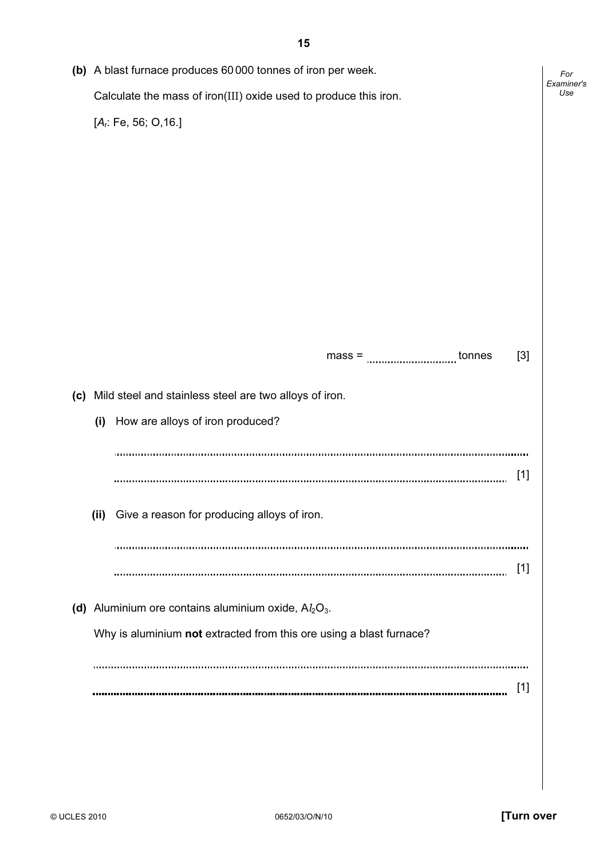| (b) A blast furnace produces 60000 tonnes of iron per week.<br>Calculate the mass of iron(III) oxide used to produce this iron. | For<br>Examiner's<br>Use |
|---------------------------------------------------------------------------------------------------------------------------------|--------------------------|
| $[A_r: Fe, 56; O, 16.]$                                                                                                         |                          |
|                                                                                                                                 |                          |
|                                                                                                                                 |                          |
|                                                                                                                                 |                          |
|                                                                                                                                 |                          |
|                                                                                                                                 |                          |
|                                                                                                                                 |                          |
|                                                                                                                                 |                          |
| $[3]$<br>tonnes                                                                                                                 |                          |
| (c) Mild steel and stainless steel are two alloys of iron.                                                                      |                          |
| How are alloys of iron produced?<br>(i)                                                                                         |                          |
|                                                                                                                                 |                          |
| $[1]$                                                                                                                           |                          |
| (ii) Give a reason for producing alloys of iron.                                                                                |                          |
|                                                                                                                                 |                          |
| $[1]$                                                                                                                           |                          |
| (d) Aluminium ore contains aluminium oxide, $A\ell_2O_3$ .                                                                      |                          |
| Why is aluminium not extracted from this ore using a blast furnace?                                                             |                          |
|                                                                                                                                 |                          |
| $[1]$                                                                                                                           |                          |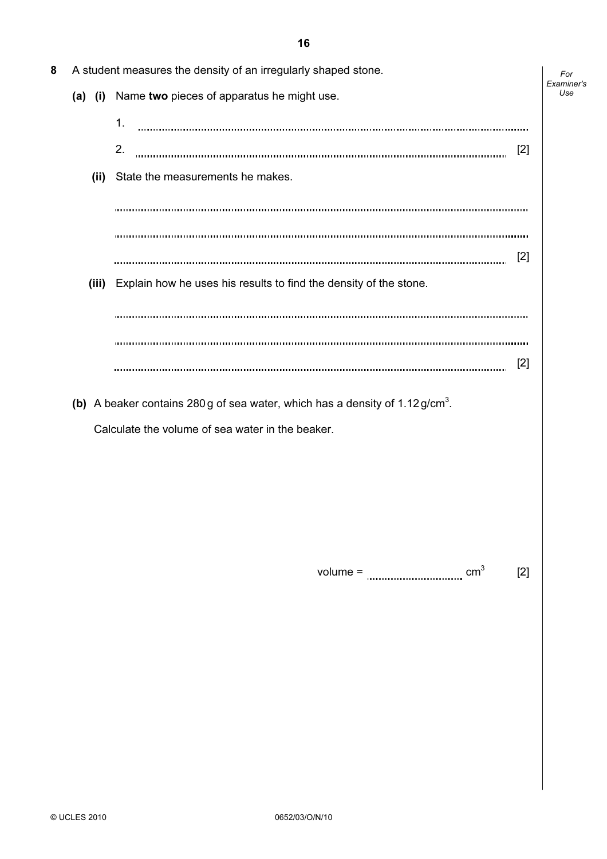| 8 |           | A student measures the density of an irregularly shaped stone.                              | For               |
|---|-----------|---------------------------------------------------------------------------------------------|-------------------|
|   | $(a)$ (i) | Name two pieces of apparatus he might use.                                                  | Examiner's<br>Use |
|   | (ii)      | $\mathbf{1}$ .<br>2.<br>[2]<br>State the measurements he makes.                             |                   |
|   |           |                                                                                             |                   |
|   | (iii)     | [2]<br>Explain how he uses his results to find the density of the stone.                    |                   |
|   |           | ,,,,,,,,,,,,,,,,,,,,,,,,,,,,,,,,,                                                           |                   |
|   |           | $\mathsf{Z}$                                                                                |                   |
|   |           | (b) A beaker contains 280 g of sea water, which has a density of $1.12$ g/cm <sup>3</sup> . |                   |
|   |           | Calculate the volume of sea water in the beaker.                                            |                   |

volume =  $\ldots$  cm<sup>3</sup> [2]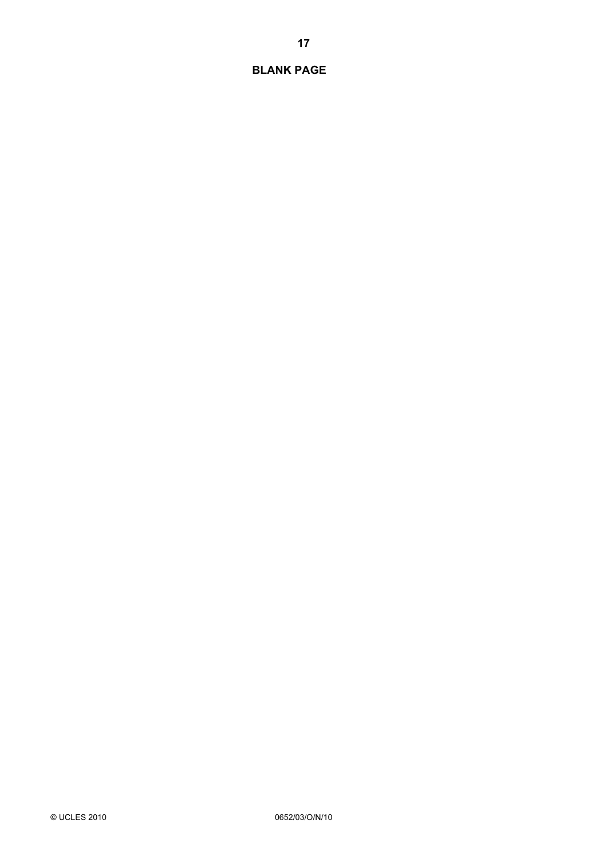## BLANK PAGE

17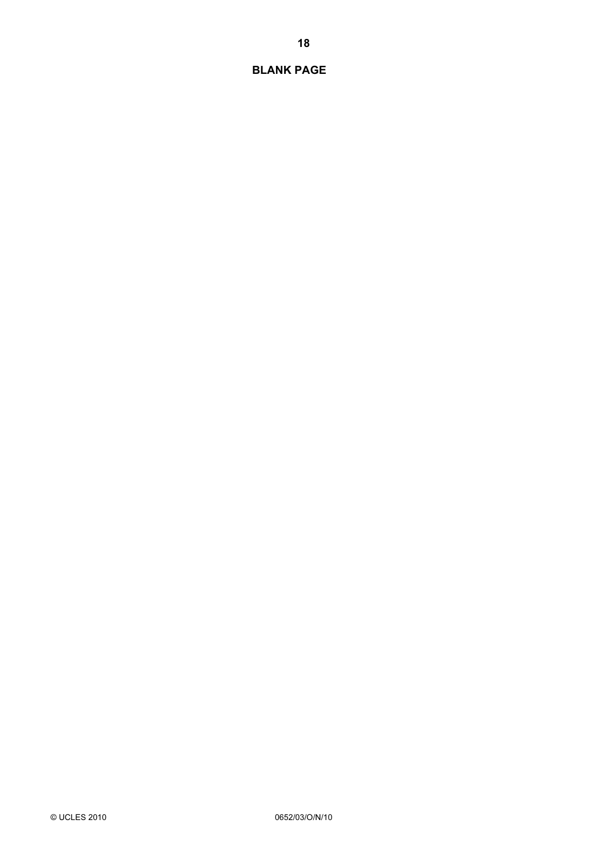### BLANK PAGE

18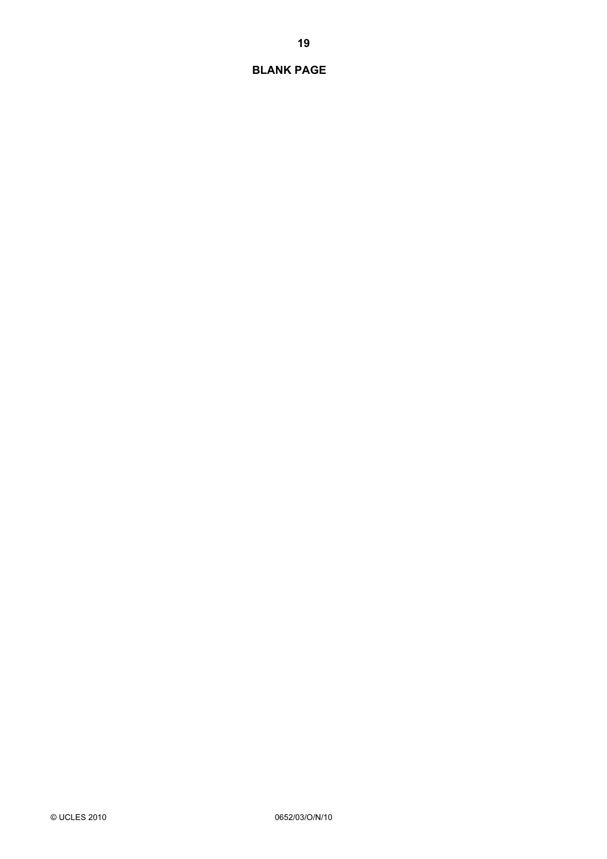### BLANK PAGE

19